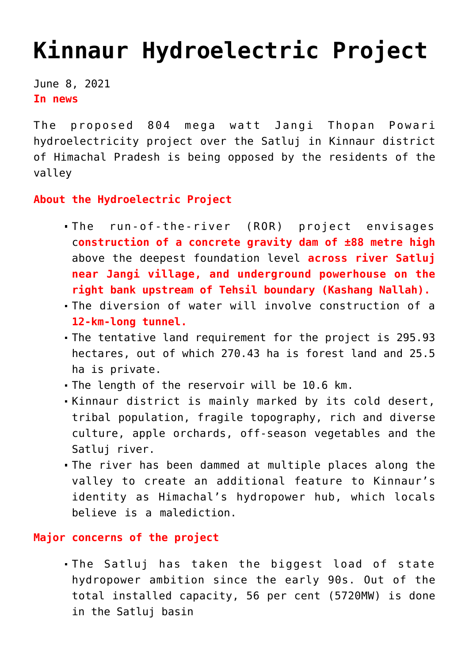## **[Kinnaur Hydroelectric Project](https://journalsofindia.com/kinnaur-hydroelectric-project/)**

June 8, 2021 **In news** 

The proposed 804 mega watt Jangi Thopan Powari hydroelectricity project over the Satluj in Kinnaur district of Himachal Pradesh is being opposed by the residents of the valley

**About the Hydroelectric Project**

- The run-of-the-river (ROR) project envisages c**onstruction of a concrete gravity dam of ±88 metre high** above the deepest foundation level **across river Satluj near Jangi village, and underground powerhouse on the right bank upstream of Tehsil boundary (Kashang Nallah).**
- The diversion of water will involve construction of a **12-km-long tunnel.**
- The tentative land requirement for the project is 295.93 hectares, out of which 270.43 ha is forest land and 25.5 ha is private.
- The length of the reservoir will be 10.6 km.
- Kinnaur district is mainly marked by its cold desert, tribal population, fragile topography, rich and diverse culture, apple orchards, off-season vegetables and the Satluj river.
- The river has been dammed at multiple places along the valley to create an additional feature to Kinnaur's identity as Himachal's hydropower hub, which locals believe is a malediction.

**Major concerns of the project** 

The Satluj has taken the biggest load of state hydropower ambition since the early 90s. Out of the total installed capacity, 56 per cent (5720MW) is done in the Satluj basin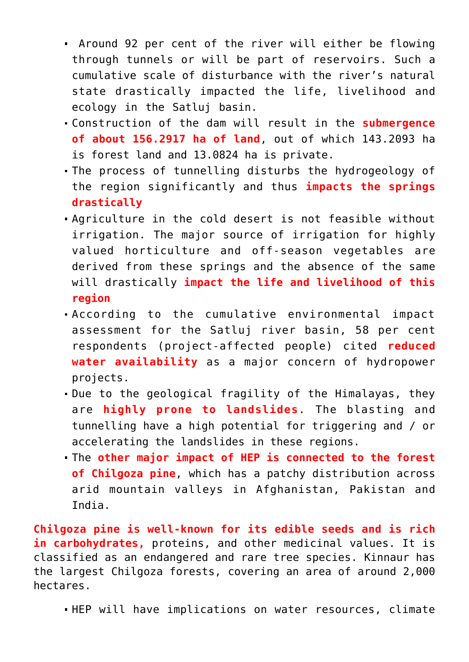- Around 92 per cent of the river will either be flowing through tunnels or will be part of reservoirs. Such a cumulative scale of disturbance with the river's natural state drastically impacted the life, livelihood and ecology in the Satluj basin.
- Construction of the dam will result in the **submergence of about 156.2917 ha of land**, out of which 143.2093 ha is forest land and 13.0824 ha is private.
- The process of tunnelling disturbs the hydrogeology of the region significantly and thus **impacts the springs drastically**
- Agriculture in the cold desert is not feasible without irrigation. The major source of irrigation for highly valued horticulture and off-season vegetables are derived from these springs and the absence of the same will drastically **impact the life and livelihood of this region**
- According to the cumulative environmental impact assessment for the Satluj river basin, 58 per cent respondents (project-affected people) cited **reduced water availability** as a major concern of hydropower projects.
- Due to the geological fragility of the Himalayas, they are **highly prone to landslides**. The blasting and tunnelling have a high potential for triggering and / or accelerating the landslides in these regions.
- The **other major impact of HEP is connected to the forest of Chilgoza pine**, which has a patchy distribution across arid mountain valleys in Afghanistan, Pakistan and India.

**Chilgoza pine is well-known for its edible seeds and is rich in carbohydrates,** proteins, and other medicinal values. It is classified as an endangered and rare tree species. Kinnaur has the largest Chilgoza forests, covering an area of around 2,000 hectares.

HEP will have implications on water resources, climate